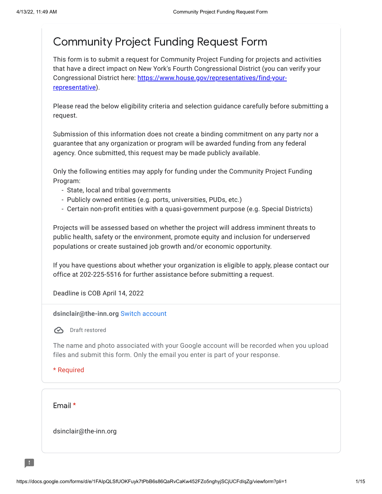# Community Project Funding Request Form

This form is to submit a request for Community Project Funding for projects and activities that have a direct impact on New York's Fourth Congressional District (you can verify your Congressional District here: [https://www.house.gov/representatives/find-your](https://www.google.com/url?q=https://www.house.gov/representatives/find-your-representative&sa=D&source=editors&ust=1649868534762467&usg=AOvVaw1MmETAOcdaVeMIdtljTsj0)representative).

Please read the below eligibility criteria and selection guidance carefully before submitting a request.

Submission of this information does not create a binding commitment on any party nor a guarantee that any organization or program will be awarded funding from any federal agency. Once submitted, this request may be made publicly available.

Only the following entities may apply for funding under the Community Project Funding Program:

- State, local and tribal governments
- Publicly owned entities (e.g. ports, universities, PUDs, etc.)
- Certain non-profit entities with a quasi-government purpose (e.g. Special Districts)

Projects will be assessed based on whether the project will address imminent threats to public health, safety or the environment, promote equity and inclusion for underserved populations or create sustained job growth and/or economic opportunity.

If you have questions about whether your organization is eligible to apply, please contact our office at 202-225-5516 for further assistance before submitting a request.

Deadline is COB April 14, 2022

**dsinclair@the-inn.org** Switch [account](https://accounts.google.com/AccountChooser?continue=https://docs.google.com/forms/d/e/1FAIpQLSfUOKFuyk7tPbB6s86QaRvCaKw452FZo5nghyjSCjUCFdIqZg/viewform?pli%3D1&service=wise)

**B** Draft restored

The name and photo associated with your Google account will be recorded when you upload files and submit this form. Only the email you enter is part of your response.

\* Required

Email \*

dsinclair@the-inn.org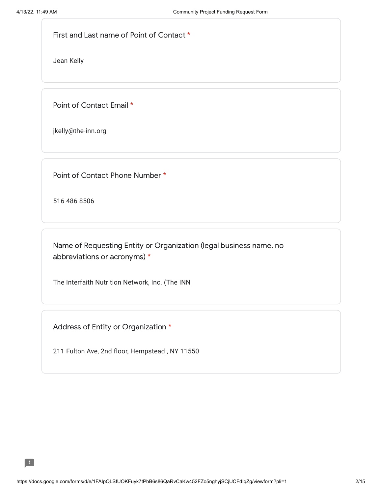First and Last name of Point of Contact \*

Jean Kelly

Point of Contact Email \*

jkelly@the-inn.org

Point of Contact Phone Number \*

516 486 8506

Name of Requesting Entity or Organization (legal business name, no abbreviations or acronyms) \*

The Interfaith Nutrition Network, Inc. (The INN)

Address of Entity or Organization \*

211 Fulton Ave, 2nd floor, Hempstead , NY 11550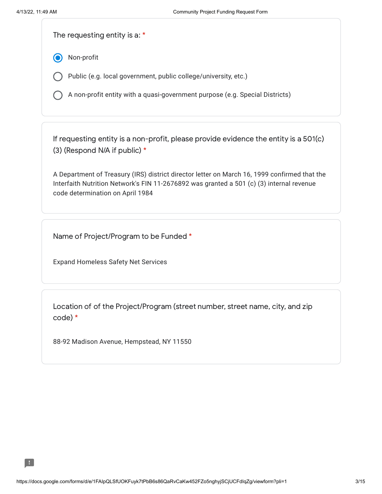The requesting entity is a: \*

Non-profit

Public (e.g. local government, public college/university, etc.)

A non-profit entity with a quasi-government purpose (e.g. Special Districts)

If requesting entity is a non-profit, please provide evidence the entity is a 501(c) (3) (Respond N/A if public) \*

A Department of Treasury (IRS) district director letter on March 16, 1999 confirmed that the Interfaith Nutrition Network's FIN 11-2676892 was granted a 501 (c) (3) internal revenue code determination on April 1984

Name of Project/Program to be Funded \*

Expand Homeless Safety Net Services

Location of of the Project/Program (street number, street name, city, and zip code) \*

88-92 Madison Avenue, Hempstead, NY 11550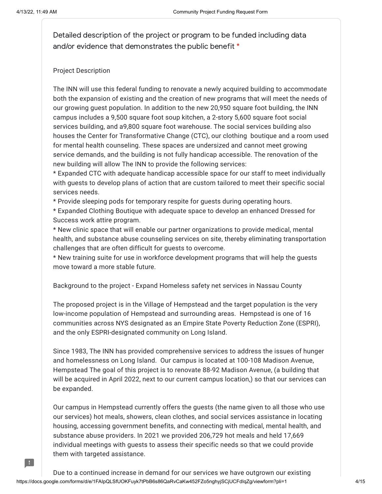H

Detailed description of the project or program to be funded including data and/or evidence that demonstrates the public benefit \*

## Project Description

The INN will use this federal funding to renovate a newly acquired building to accommodate both the expansion of existing and the creation of new programs that will meet the needs of our growing guest population. In addition to the new 20,950 square foot building, the INN campus includes a 9,500 square foot soup kitchen, a 2-story 5,600 square foot social services building, and a9,800 square foot warehouse. The social services building also houses the Center for Transformative Change (CTC), our clothing boutique and a room used for mental health counseling. These spaces are undersized and cannot meet growing service demands, and the building is not fully handicap accessible. The renovation of the new building will allow The INN to provide the following services:

\* Expanded CTC with adequate handicap accessible space for our staff to meet individually with guests to develop plans of action that are custom tailored to meet their specific social services needs.

\* Provide sleeping pods for temporary respite for guests during operating hours.

\* Expanded Clothing Boutique with adequate space to develop an enhanced Dressed for Success work attire program.

\* New clinic space that will enable our partner organizations to provide medical, mental health, and substance abuse counseling services on site, thereby eliminating transportation challenges that are often difficult for guests to overcome.

\* New training suite for use in workforce development programs that will help the guests move toward a more stable future.

Background to the project - Expand Homeless safety net services in Nassau County

The proposed project is in the Village of Hempstead and the target population is the very low-income population of Hempstead and surrounding areas. Hempstead is one of 16 communities across NYS designated as an Empire State Poverty Reduction Zone (ESPRI), and the only ESPRI-designated community on Long Island.

Since 1983, The INN has provided comprehensive services to address the issues of hunger and homelessness on Long Island. Our campus is located at 100-108 Madison Avenue, Hempstead The goal of this project is to renovate 88-92 Madison Avenue, (a building that will be acquired in April 2022, next to our current campus location,) so that our services can be expanded.

Our campus in Hempstead currently offers the guests (the name given to all those who use our services) hot meals, showers, clean clothes, and social services assistance in locating housing, accessing government benefits, and connecting with medical, mental health, and substance abuse providers. In 2021 we provided 206,729 hot meals and held 17,669 individual meetings with guests to assess their specific needs so that we could provide them with targeted assistance.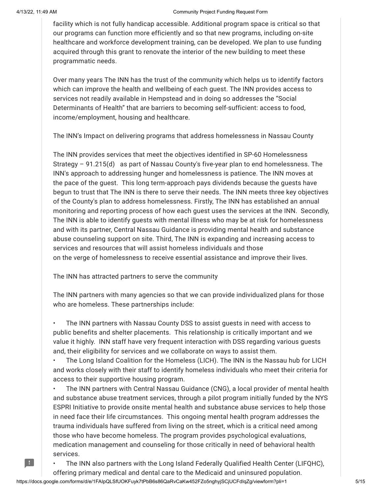H

#### 4/13/22, 11:49 AM Community Project Funding Request Form

facility which is not fully handicap accessible. Additional program space is critical so that our programs can function more efficiently and so that new programs, including on-site healthcare and workforce development training, can be developed. We plan to use funding acquired through this grant to renovate the interior of the new building to meet these programmatic needs.

Over many years The INN has the trust of the community which helps us to identify factors which can improve the health and wellbeing of each guest. The INN provides access to services not readily available in Hempstead and in doing so addresses the "Social Determinants of Health" that are barriers to becoming self-sufficient: access to food, income/employment, housing and healthcare.

The INN's Impact on delivering programs that address homelessness in Nassau County

The INN provides services that meet the objectives identified in SP-60 Homelessness Strategy – 91.215(d) as part of Nassau County's five-year plan to end homelessness. The INN's approach to addressing hunger and homelessness is patience. The INN moves at the pace of the guest. This long term-approach pays dividends because the guests have begun to trust that The INN is there to serve their needs. The INN meets three key objectives of the County's plan to address homelessness. Firstly, The INN has established an annual monitoring and reporting process of how each guest uses the services at the INN. Secondly, The INN is able to identify guests with mental illness who may be at risk for homelessness and with its partner, Central Nassau Guidance is providing mental health and substance abuse counseling support on site. Third, The INN is expanding and increasing access to services and resources that will assist homeless individuals and those on the verge of homelessness to receive essential assistance and improve their lives.

The INN has attracted partners to serve the community

The INN partners with many agencies so that we can provide individualized plans for those who are homeless. These partnerships include:

• The INN partners with Nassau County DSS to assist guests in need with access to public benefits and shelter placements. This relationship is critically important and we value it highly. INN staff have very frequent interaction with DSS regarding various guests and, their eligibility for services and we collaborate on ways to assist them.

• The Long Island Coalition for the Homeless (LICH). The INN is the Nassau hub for LICH and works closely with their staff to identify homeless individuals who meet their criteria for access to their supportive housing program.

• The INN partners with Central Nassau Guidance (CNG), a local provider of mental health and substance abuse treatment services, through a pilot program initially funded by the NYS ESPRI Initiative to provide onsite mental health and substance abuse services to help those in need face their life circumstances. This ongoing mental health program addresses the trauma individuals have suffered from living on the street, which is a critical need among those who have become homeless. The program provides psychological evaluations, medication management and counseling for those critically in need of behavioral health services.

• The INN also partners with the Long Island Federally Qualified Health Center (LIFQHC),

offering primary medical and dental care to the Medicaid and uninsured population.

https://docs.google.com/forms/d/e/1FAIpQLSfUOKFuyk7tPbB6s86QaRvCaKw452FZo5nghyjSCjUCFdIqZg/viewform?pli=1 5/15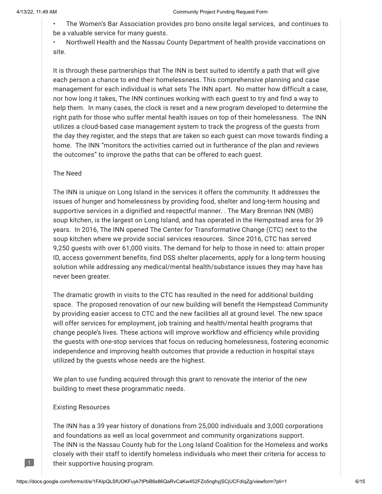• The Women's Bar Association provides pro bono onsite legal services, and continues to be a valuable service for many guests.

• Northwell Health and the Nassau County Department of health provide vaccinations on site.

It is through these partnerships that The INN is best suited to identify a path that will give each person a chance to end their homelessness. This comprehensive planning and case management for each individual is what sets The INN apart. No matter how difficult a case, nor how long it takes, The INN continues working with each guest to try and find a way to help them. In many cases, the clock is reset and a new program developed to determine the right path for those who suffer mental health issues on top of their homelessness. The INN utilizes a cloud-based case management system to track the progress of the guests from the day they register, and the steps that are taken so each guest can move towards finding a home. The INN "monitors the activities carried out in furtherance of the plan and reviews the outcomes" to improve the paths that can be offered to each guest.

## The Need

The INN is unique on Long Island in the services it offers the community. It addresses the issues of hunger and homelessness by providing food, shelter and long-term housing and supportive services in a dignified and respectful manner. . The Mary Brennan INN (MBI) soup kitchen, is the largest on Long Island, and has operated in the Hempstead area for 39 years. In 2016, The INN opened The Center for Transformative Change (CTC) next to the soup kitchen where we provide social services resources. Since 2016, CTC has served 9,250 guests with over 61,000 visits. The demand for help to those in need to: attain proper ID, access government benefits, find DSS shelter placements, apply for a long-term housing solution while addressing any medical/mental health/substance issues they may have has never been greater.

The dramatic growth in visits to the CTC has resulted in the need for additional building space. The proposed renovation of our new building will benefit the Hempstead Community by providing easier access to CTC and the new facilities all at ground level. The new space will offer services for employment, job training and health/mental health programs that change people's lives. These actions will improve workflow and efficiency while providing the guests with one-stop services that focus on reducing homelessness, fostering economic independence and improving health outcomes that provide a reduction in hospital stays utilized by the guests whose needs are the highest.

We plan to use funding acquired through this grant to renovate the interior of the new building to meet these programmatic needs.

### Existing Resources

The INN has a 39 year history of donations from 25,000 individuals and 3,000 corporations and foundations as well as local government and community organizations support. The INN is the Nassau County hub for the Long Island Coalition for the Homeless and works closely with their staff to identify homeless individuals who meet their criteria for access to their supportive housing program.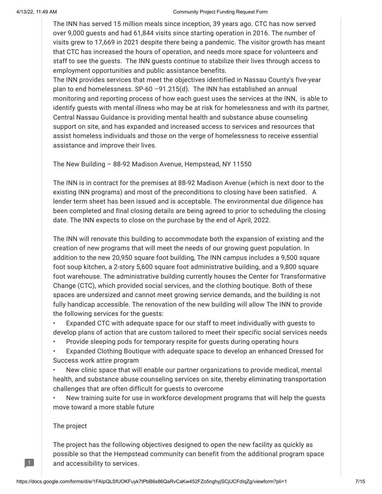#### 4/13/22, 11:49 AM Community Project Funding Request Form

The INN has served 15 million meals since inception, 39 years ago. CTC has now served over 9,000 guests and had 61,844 visits since starting operation in 2016. The number of visits grew to 17,669 in 2021 despite there being a pandemic. The visitor growth has meant that CTC has increased the hours of operation, and needs more space for volunteers and staff to see the guests. The INN guests continue to stabilize their lives through access to employment opportunities and public assistance benefits.

The INN provides services that meet the objectives identified in Nassau County's five-year plan to end homelessness. SP-60 –91.215(d). The INN has established an annual monitoring and reporting process of how each guest uses the services at the INN, is able to identify guests with mental illness who may be at risk for homelessness and with its partner, Central Nassau Guidance is providing mental health and substance abuse counseling support on site, and has expanded and increased access to services and resources that assist homeless individuals and those on the verge of homelessness to receive essential assistance and improve their lives.

The New Building – 88-92 Madison Avenue, Hempstead, NY 11550

The INN is in contract for the premises at 88-92 Madison Avenue (which is next door to the existing INN programs) and most of the preconditions to closing have been satisfied. A lender term sheet has been issued and is acceptable. The environmental due diligence has been completed and final closing details are being agreed to prior to scheduling the closing date. The INN expects to close on the purchase by the end of April, 2022.

The INN will renovate this building to accommodate both the expansion of existing and the creation of new programs that will meet the needs of our growing guest population. In addition to the new 20,950 square foot building, The INN campus includes a 9,500 square foot soup kitchen, a 2-story 5,600 square foot administrative building, and a 9,800 square foot warehouse. The administrative building currently houses the Center for Transformative Change (CTC), which provided social services, and the clothing boutique. Both of these spaces are undersized and cannot meet growing service demands, and the building is not fully handicap accessible. The renovation of the new building will allow The INN to provide the following services for the guests:

• Expanded CTC with adequate space for our staff to meet individually with guests to develop plans of action that are custom tailored to meet their specific social services needs

• Provide sleeping pods for temporary respite for guests during operating hours

• Expanded Clothing Boutique with adequate space to develop an enhanced Dressed for Success work attire program

• New clinic space that will enable our partner organizations to provide medical, mental health, and substance abuse counseling services on site, thereby eliminating transportation challenges that are often difficult for guests to overcome

• New training suite for use in workforce development programs that will help the guests move toward a more stable future

## The project

 $\blacksquare$ 

The project has the following objectives designed to open the new facility as quickly as possible so that the Hempstead community can benefit from the additional program space and accessibility to services.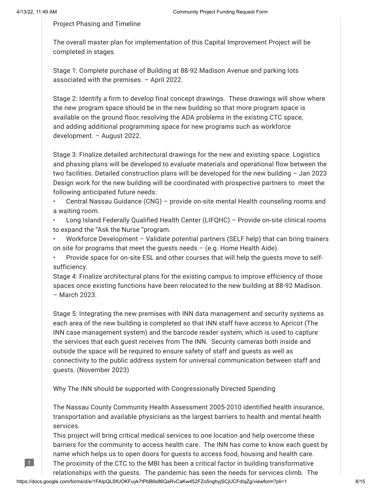H.

## Project Phasing and Timeline

The overall master plan for implementation of this Capital Improvement Project will be completed in stages.

Stage 1: Complete purchase of Building at 88-92 Madison Avenue and parking lots associated with the premises. – April 2022.

Stage 2: Identify a firm to develop final concept drawings. These drawings will show where the new program space should be in the new building so that more program space is available on the ground floor, resolving the ADA problems in the existing CTC space, and adding additional programming space for new programs such as workforce development. – August 2022.

Stage 3: Finalize detailed architectural drawings for the new and existing space. Logistics and phasing plans will be developed to evaluate materials and operational flow between the two facilities. Detailed construction plans will be developed for the new building – Jan 2023 Design work for the new building will be coordinated with prospective partners to meet the following anticipated future needs:

• Central Nassau Guidance (CNG) – provide on-site mental Health counseling rooms and a waiting room.

• Long Island Federally Qualified Health Center (LIFQHC) – Provide on-site clinical rooms to expand the "Ask the Nurse "program.

• Workforce Development – Validate potential partners (SELF help) that can bring trainers on site for programs that meet the guests needs  $-$  (e.g. Home Health Aide).

• Provide space for on-site ESL and other courses that will help the guests move to selfsufficiency.

Stage 4: Finalize architectural plans for the existing campus to improve efficiency of those spaces once existing functions have been relocated to the new building at 88-92 Madison. – March 2023.

Stage 5: Integrating the new premises with INN data management and security systems as each area of the new building is completed so that INN staff have access to Apricot (The INN case management system) and the barcode reader system, which is used to capture the services that each guest receives from The INN. Security cameras both inside and outside the space will be required to ensure safety of staff and guests as well as connectivity to the public address system for universal communication between staff and guests. (November 2023)

Why The INN should be supported with Congressionally Directed Spending

The Nassau County Community Health Assessment 2005-2010 identified health insurance, transportation and available physicians as the largest barriers to health and mental health services.

This project will bring critical medical services to one location and help overcome these barriers for the community to access health care. The INN has come to know each guest by name which helps us to open doors for guests to access food, housing and health care. The proximity of the CTC to the MBI has been a critical factor in building transformative

relationships with the guests. The pandemic has seen the needs for services climb. The

https://docs.google.com/forms/d/e/1FAIpQLSfUOKFuyk7tPbB6s86QaRvCaKw452FZo5nghyjSCjUCFdIqZg/viewform?pli=1 8/15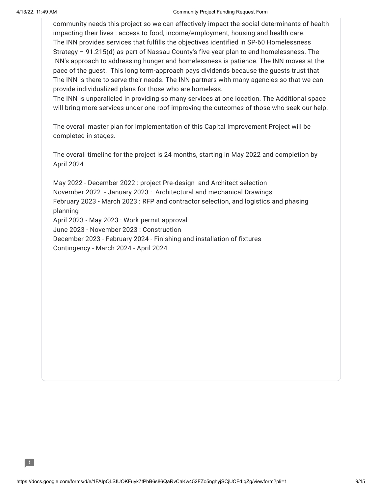#### 4/13/22, 11:49 AM Community Project Funding Request Form

community needs this project so we can effectively impact the social determinants of health impacting their lives : access to food, income/employment, housing and health care. The INN provides services that fulfills the objectives identified in SP-60 Homelessness Strategy – 91.215(d) as part of Nassau County's five-year plan to end homelessness. The INN's approach to addressing hunger and homelessness is patience. The INN moves at the pace of the guest. This long term-approach pays dividends because the guests trust that The INN is there to serve their needs. The INN partners with many agencies so that we can provide individualized plans for those who are homeless.

The INN is unparalleled in providing so many services at one location. The Additional space will bring more services under one roof improving the outcomes of those who seek our help.

The overall master plan for implementation of this Capital Improvement Project will be completed in stages.

The overall timeline for the project is 24 months, starting in May 2022 and completion by April 2024

May 2022 - December 2022 : project Pre-design and Architect selection November 2022 - January 2023 : Architectural and mechanical Drawings February 2023 - March 2023 : RFP and contractor selection, and logistics and phasing planning April 2023 - May 2023 : Work permit approval June 2023 - November 2023 : Construction December 2023 - February 2024 - Finishing and installation of fixtures Contingency - March 2024 - April 2024

B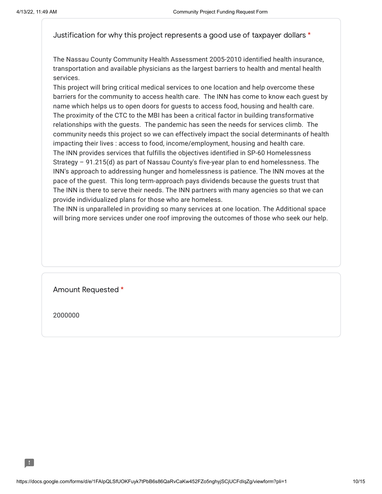Justification for why this project represents a good use of taxpayer dollars \*

The Nassau County Community Health Assessment 2005-2010 identified health insurance, transportation and available physicians as the largest barriers to health and mental health services.

This project will bring critical medical services to one location and help overcome these barriers for the community to access health care. The INN has come to know each guest by name which helps us to open doors for guests to access food, housing and health care. The proximity of the CTC to the MBI has been a critical factor in building transformative relationships with the guests. The pandemic has seen the needs for services climb. The community needs this project so we can effectively impact the social determinants of health impacting their lives : access to food, income/employment, housing and health care. The INN provides services that fulfills the objectives identified in SP-60 Homelessness Strategy – 91.215(d) as part of Nassau County's five-year plan to end homelessness. The INN's approach to addressing hunger and homelessness is patience. The INN moves at the pace of the guest. This long term-approach pays dividends because the guests trust that The INN is there to serve their needs. The INN partners with many agencies so that we can provide individualized plans for those who are homeless.

The INN is unparalleled in providing so many services at one location. The Additional space will bring more services under one roof improving the outcomes of those who seek our help.

Amount Requested \*

2000000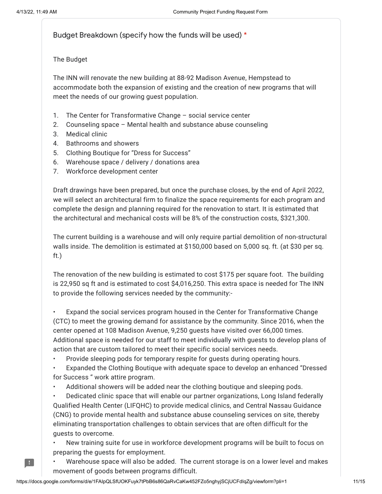H

Budget Breakdown (specify how the funds will be used) \*

The Budget

The INN will renovate the new building at 88-92 Madison Avenue, Hempstead to accommodate both the expansion of existing and the creation of new programs that will meet the needs of our growing guest population.

- 1. The Center for Transformative Change social service center
- 2. Counseling space Mental health and substance abuse counseling
- 3. Medical clinic
- 4. Bathrooms and showers
- 5. Clothing Boutique for "Dress for Success"
- 6. Warehouse space / delivery / donations area
- 7. Workforce development center

Draft drawings have been prepared, but once the purchase closes, by the end of April 2022, we will select an architectural firm to finalize the space requirements for each program and complete the design and planning required for the renovation to start. It is estimated that the architectural and mechanical costs will be 8% of the construction costs, \$321,300.

The current building is a warehouse and will only require partial demolition of non-structural walls inside. The demolition is estimated at \$150,000 based on 5,000 sq. ft. (at \$30 per sq. ft.)

The renovation of the new building is estimated to cost \$175 per square foot. The building is 22,950 sq ft and is estimated to cost \$4,016,250. This extra space is needed for The INN to provide the following services needed by the community:-

• Expand the social services program housed in the Center for Transformative Change (CTC) to meet the growing demand for assistance by the community. Since 2016, when the center opened at 108 Madison Avenue, 9,250 guests have visited over 66,000 times. Additional space is needed for our staff to meet individually with guests to develop plans of action that are custom tailored to meet their specific social services needs.

• Provide sleeping pods for temporary respite for guests during operating hours.

• Expanded the Clothing Boutique with adequate space to develop an enhanced "Dressed for Success " work attire program.

• Additional showers will be added near the clothing boutique and sleeping pods.

• Dedicated clinic space that will enable our partner organizations, Long Island federally Qualified Health Center (LIFQHC) to provide medical clinics, and Central Nassau Guidance (CNG) to provide mental health and substance abuse counseling services on site, thereby eliminating transportation challenges to obtain services that are often difficult for the guests to overcome.

• New training suite for use in workforce development programs will be built to focus on preparing the guests for employment.

• Warehouse space will also be added. The current storage is on a lower level and makes movement of goods between programs difficult.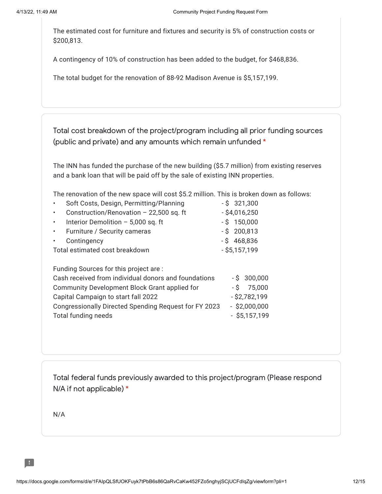The estimated cost for furniture and fixtures and security is 5% of construction costs or \$200,813.

A contingency of 10% of construction has been added to the budget, for \$468,836.

The total budget for the renovation of 88-92 Madison Avenue is \$5,157,199.

Total cost breakdown of the project/program including all prior funding sources (public and private) and any amounts which remain unfunded \*

The INN has funded the purchase of the new building (\$5.7 million) from existing reserves and a bank loan that will be paid off by the sale of existing INN properties.

The renovation of the new space will cost \$5.2 million. This is broken down as follows:

|                                | Soft Costs, Design, Permitting/Planning | $-$ \$ 321,300  |
|--------------------------------|-----------------------------------------|-----------------|
|                                | Construction/Renovation - 22,500 sq. ft | $-$ \$4,016,250 |
|                                | Interior Demolition - 5,000 sq. ft      | $-$ \$ 150,000  |
|                                | • Furniture / Security cameras          | $-$ \$ 200,813  |
|                                | Contingency                             | $-$ \$ 468,836  |
| Total estimated cost breakdown |                                         | $-$ \$5,157,199 |
|                                |                                         |                 |

| Funding Sources for this project are:                 |                 |
|-------------------------------------------------------|-----------------|
| Cash received from individual donors and foundations  | $-$ \$ 300,000  |
| Community Development Block Grant applied for         | $-$ \$ 75,000   |
| Capital Campaign to start fall 2022                   | $-$ \$2,782,199 |
| Congressionally Directed Spending Request for FY 2023 | $-$ \$2,000,000 |
| Total funding needs                                   | $-$ \$5,157,199 |

Total federal funds previously awarded to this project/program (Please respond N/A if not applicable) \*

N/A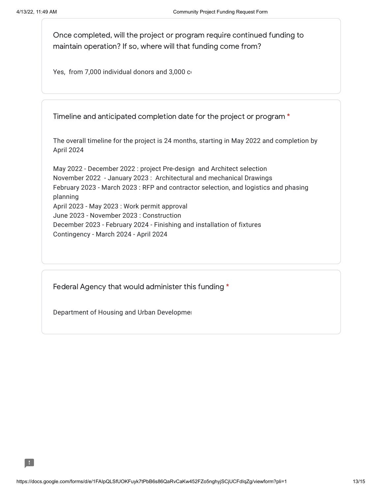Once completed, will the project or program require continued funding to maintain operation? If so, where will that funding come from?

Yes, from 7,000 individual donors and 3,000 co

Timeline and anticipated completion date for the project or program \*

The overall timeline for the project is 24 months, starting in May 2022 and completion by April 2024

May 2022 - December 2022 : project Pre-design and Architect selection November 2022 - January 2023 : Architectural and mechanical Drawings February 2023 - March 2023 : RFP and contractor selection, and logistics and phasing planning April 2023 - May 2023 : Work permit approval June 2023 - November 2023 : Construction December 2023 - February 2024 - Finishing and installation of fixtures Contingency - March 2024 - April 2024

Federal Agency that would administer this funding \*

Department of Housing and Urban Developmen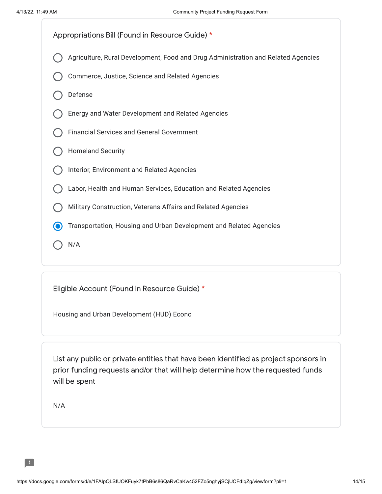

Eligible Account (Found in Resource Guide) \*

Housing and Urban Development (HUD) Econo

List any public or private entities that have been identified as project sponsors in prior funding requests and/or that will help determine how the requested funds will be spent

N/A